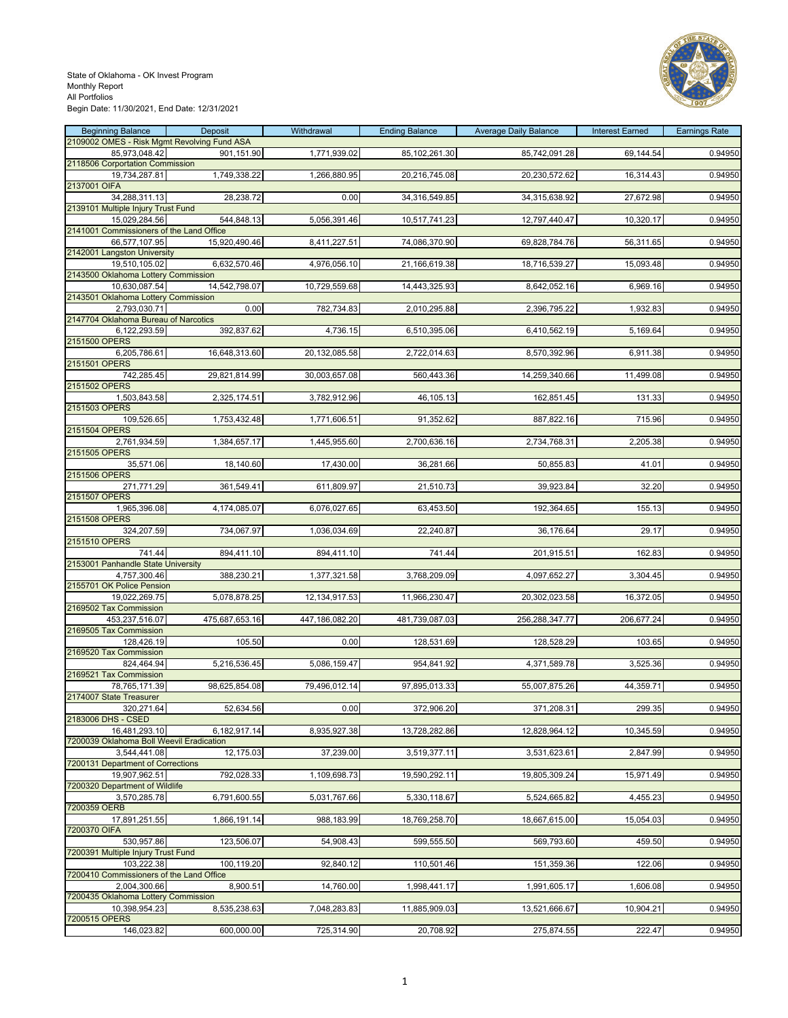

| <b>Beginning Balance</b>                                     | Deposit        | Withdrawal     | <b>Ending Balance</b> | <b>Average Daily Balance</b> | <b>Interest Earned</b> | <b>Earnings Rate</b> |
|--------------------------------------------------------------|----------------|----------------|-----------------------|------------------------------|------------------------|----------------------|
| 2109002 OMES - Risk Mgmt Revolving Fund ASA<br>85,973,048.42 | 901,151.90     | 1,771,939.02   | 85,102,261.30         | 85,742,091.28                | 69,144.54              | 0.94950              |
| 2118506 Corportation Commission                              |                |                |                       |                              |                        |                      |
| 19,734,287.81<br>2137001 OIFA                                | 1,749,338.22   | 1,266,880.95   | 20,216,745.08         | 20,230,572.62                | 16,314.43              | 0.94950              |
| 34,288,311.13                                                | 28,238.72      | 0.00           | 34,316,549.85         | 34,315,638.92                | 27,672.98              | 0.94950              |
| 2139101 Multiple Injury Trust Fund<br>15,029,284.56          | 544,848.13     | 5,056,391.46   | 10,517,741.23         | 12,797,440.47                | 10,320.17              | 0.94950              |
| 2141001 Commissioners of the Land Office                     |                |                |                       |                              |                        |                      |
| 66,577,107.95<br>2142001 Langston University                 | 15,920,490.46  | 8,411,227.51   | 74,086,370.90         | 69,828,784.76                | 56,311.65              | 0.94950              |
| 19,510,105.02<br>2143500 Oklahoma Lottery Commission         | 6,632,570.46   | 4,976,056.10   | 21,166,619.38         | 18,716,539.27                | 15,093.48              | 0.94950              |
| 10.630.087.54                                                | 14,542,798.07  | 10,729,559.68  | 14,443,325.93         | 8,642,052.16                 | 6,969.16               | 0.94950              |
| 2143501 Oklahoma Lottery Commission<br>2,793,030.71          | 0.00           | 782,734.83     | 2,010,295.88          | 2,396,795.22                 | 1,932.83               | 0.94950              |
| 2147704 Oklahoma Bureau of Narcotics                         |                |                |                       |                              |                        |                      |
| 6,122,293.59<br>2151500 OPERS                                | 392,837.62     | 4,736.15       | 6,510,395.06          | 6,410,562.19                 | 5,169.64               | 0.94950              |
| 6,205,786.61                                                 | 16,648,313.60  | 20,132,085.58  | 2,722,014.63          | 8,570,392.96                 | 6,911.38               | 0.94950              |
| 2151501 OPERS<br>742,285.45                                  | 29,821,814.99  | 30,003,657.08  | 560,443.36            | 14,259,340.66                | 11,499.08              | 0.94950              |
| 2151502 OPERS                                                |                |                |                       |                              |                        |                      |
| 1,503,843.58<br>2151503 OPERS                                | 2,325,174.51   | 3,782,912.96   | 46,105.13             | 162,851.45                   | 131.33                 | 0.94950              |
| 109,526.65<br>2151504 OPERS                                  | 1,753,432.48   | 1,771,606.51   | 91,352.62             | 887,822.16                   | 715.96                 | 0.94950              |
| 2,761,934.59<br>2151505 OPERS                                | 1,384,657.17   | 1,445,955.60   | 2,700,636.16          | 2,734,768.31                 | 2,205.38               | 0.94950              |
| 35,571.06                                                    | 18,140.60      | 17,430.00      | 36,281.66             | 50,855.83                    | 41.01                  | 0.94950              |
| 2151506 OPERS<br>271,771.29                                  | 361,549.41     | 611,809.97     | 21,510.73             | 39,923.84                    | 32.20                  | 0.94950              |
| 2151507 OPERS                                                |                |                |                       |                              |                        |                      |
| 1,965,396.08<br>2151508 OPERS                                | 4,174,085.07   | 6,076,027.65   | 63,453.50             | 192,364.65                   | 155.13                 | 0.94950              |
| 324,207.59                                                   | 734,067.97     | 1,036,034.69   | 22,240.87             | 36,176.64                    | 29.17                  | 0.94950              |
| 2151510 OPERS<br>741.44                                      | 894,411.10     | 894,411.10     | 741.44                | 201,915.51                   | 162.83                 | 0.94950              |
| 2153001 Panhandle State University<br>4,757,300.46           | 388,230.21     | 1,377,321.58   | 3,768,209.09          | 4,097,652.27                 | 3,304.45               | 0.94950              |
| 2155701 OK Police Pension                                    |                |                |                       |                              |                        |                      |
| 19,022,269.75<br>2169502 Tax Commission                      | 5,078,878.25   | 12,134,917.53  | 11,966,230.47         | 20,302,023.58                | 16,372.05              | 0.94950              |
| 453,237,516.07                                               | 475,687,653.16 | 447,186,082.20 | 481,739,087.03        | 256,288,347.77               | 206,677.24             | 0.94950              |
| 2169505 Tax Commission<br>128,426.19                         | 105.50         | 0.00           | 128,531.69            | 128,528.29                   | 103.65                 | 0.94950              |
| 2169520 Tax Commission                                       |                |                |                       |                              |                        |                      |
| 824,464.94<br>2169521 Tax Commission                         | 5,216,536.45   | 5,086,159.47   | 954,841.92            | 4,371,589.78                 | 3,525.36               | 0.94950              |
| 78,765,171.39<br>2174007 State Treasurer                     | 98,625,854.08  | 79,496,012.14  | 97,895,013.33         | 55,007,875.26                | 44,359.71              | 0.94950              |
| 320,271.64                                                   | 52,634.56      | 0.00           | 372,906.20            | 371,208.31                   | 299.35                 | 0.94950              |
| 2183006 DHS - CSED<br>16,481,293.10                          | 6,182,917.14   | 8,935,927.38   | 13,728,282.86         | 12,828,964.12                | 10,345.59              | 0.94950              |
| 7200039 Oklahoma Boll Weevil Eradication                     |                |                |                       |                              |                        |                      |
| 3,544,441.08<br>7200131 Department of Corrections            | 12,175.03      | 37,239.00      | 3,519,377.11          | 3,531,623.61                 | 2,847.99               | 0.94950              |
| 19,907,962.51<br>7200320 Department of Wildlife              | 792,028.33     | 1,109,698.73   | 19,590,292.11         | 19,805,309.24                | 15,971.49              | 0.94950              |
| 3,570,285.78                                                 | 6,791,600.55   | 5,031,767.66   | 5,330,118.67          | 5,524,665.82                 | 4,455.23               | 0.94950              |
| 7200359 OERB<br>17,891,251.55                                | 1,866,191.14   | 988,183.99     | 18,769,258.70         | 18,667,615.00                | 15,054.03              | 0.94950              |
| 7200370 OIFA<br>530,957.86                                   | 123,506.07     | 54,908.43      | 599,555.50            | 569,793.60                   | 459.50                 | 0.94950              |
| 7200391 Multiple Injury Trust Fund                           |                |                |                       |                              |                        |                      |
| 103,222.38<br>7200410 Commissioners of the Land Office       | 100,119.20     | 92,840.12      | 110,501.46            | 151,359.36                   | 122.06                 | 0.94950              |
| 2,004,300.66                                                 | 8,900.51       | 14,760.00      | 1,998,441.17          | 1,991,605.17                 | 1,606.08               | 0.94950              |
| 7200435 Oklahoma Lottery Commission<br>10,398,954.23         | 8,535,238.63   | 7,048,283.83   | 11,885,909.03         | 13,521,666.67                | 10,904.21              | 0.94950              |
| 7200515 OPERS                                                |                |                |                       |                              |                        |                      |
| 146,023.82                                                   | 600,000.00     | 725,314.90     | 20,708.92             | 275,874.55                   | 222.47                 | 0.94950              |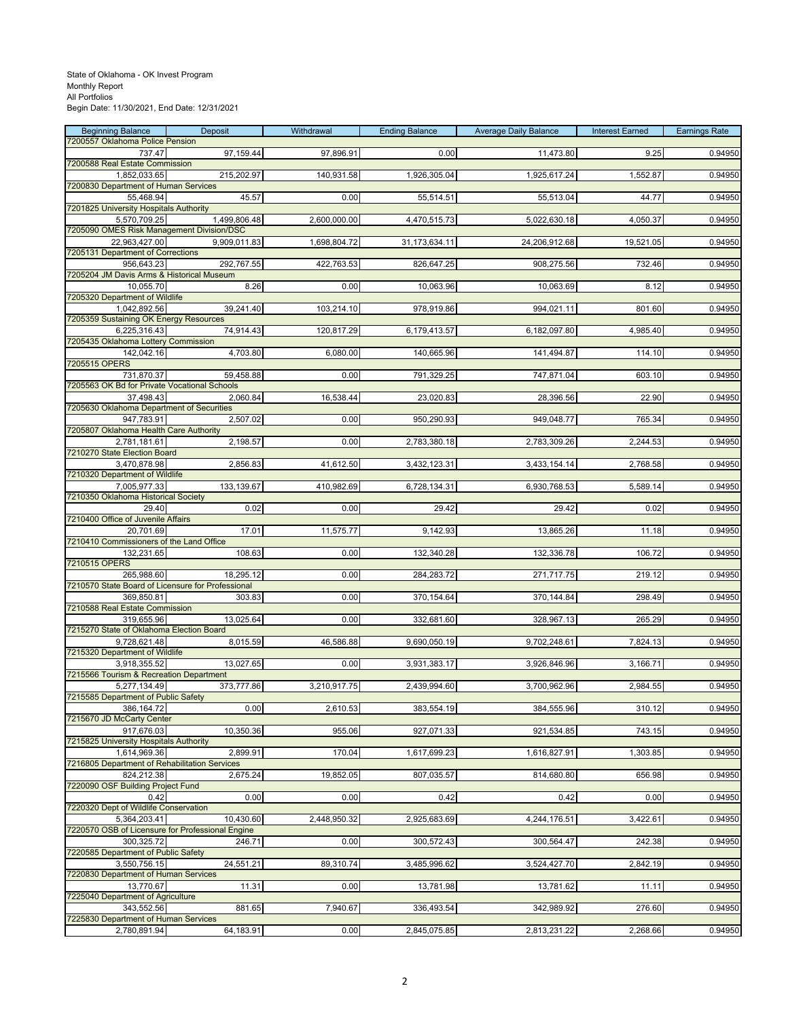| <b>Beginning Balance</b>                                      | Deposit      | Withdrawal   | <b>Ending Balance</b> | <b>Average Daily Balance</b> | <b>Interest Earned</b> | <b>Earnings Rate</b> |
|---------------------------------------------------------------|--------------|--------------|-----------------------|------------------------------|------------------------|----------------------|
| 7200557 Oklahoma Police Pension<br>737.47                     | 97,159.44    | 97,896.91    | 0.00                  | 11,473.80                    | 9.25                   | 0.94950              |
| 7200588 Real Estate Commission                                |              |              |                       |                              |                        |                      |
| 1,852,033.65                                                  | 215,202.97   | 140,931.58   | 1,926,305.04          | 1,925,617.24                 | 1,552.87               | 0.94950              |
| 7200830 Department of Human Services<br>55,468.94             | 45.57        | 0.00         | 55,514.51             | 55,513.04                    | 44.77                  | 0.94950              |
| 7201825 University Hospitals Authority                        |              |              |                       |                              |                        |                      |
| 5,570,709.25                                                  | 1,499,806.48 | 2,600,000.00 | 4,470,515.73          | 5,022,630.18                 | 4,050.37               | 0.94950              |
| 7205090 OMES Risk Management Division/DSC                     |              |              |                       |                              |                        |                      |
| 22,963,427.00<br>7205131 Department of Corrections            | 9,909,011.83 | 1,698,804.72 | 31,173,634.11         | 24,206,912.68                | 19,521.05              | 0.94950              |
| 956,643.23                                                    | 292,767.55   | 422,763.53   | 826,647.25            | 908,275.56                   | 732.46                 | 0.94950              |
| 7205204 JM Davis Arms & Historical Museum                     |              |              |                       |                              |                        |                      |
| 10,055.70<br>7205320 Department of Wildlife                   | 8.26         | 0.00         | 10,063.96             | 10,063.69                    | 8.12                   | 0.94950              |
| 1,042,892.56                                                  | 39,241.40    | 103,214.10   | 978,919.86            | 994,021.11                   | 801.60                 | 0.94950              |
| 7205359 Sustaining OK Energy Resources                        |              |              |                       |                              |                        |                      |
| 6,225,316.43                                                  | 74,914.43    | 120,817.29   | 6,179,413.57          | 6,182,097.80                 | 4,985.40               | 0.94950              |
| 7205435 Oklahoma Lottery Commission<br>142,042.16             | 4,703.80     | 6,080.00     | 140,665.96            | 141,494.87                   | 114.10                 | 0.94950              |
| 7205515 OPERS                                                 |              |              |                       |                              |                        |                      |
| 731,870.37                                                    | 59,458.88    | 0.00         | 791,329.25            | 747,871.04                   | 603.10                 | 0.94950              |
| 7205563 OK Bd for Private Vocational Schools<br>37,498.43     | 2,060.84     | 16,538.44    | 23,020.83             | 28,396.56                    | 22.90                  | 0.94950              |
| 7205630 Oklahoma Department of Securities                     |              |              |                       |                              |                        |                      |
| 947,783.91                                                    | 2,507.02     | 0.00         | 950,290.93            | 949,048.77                   | 765.34                 | 0.94950              |
| 7205807 Oklahoma Health Care Authority                        |              |              |                       |                              |                        |                      |
| 2,781,181.61<br>7210270 State Election Board                  | 2,198.57     | 0.00         | 2,783,380.18          | 2,783,309.26                 | 2,244.53               | 0.94950              |
| 3,470,878.98                                                  | 2,856.83     | 41,612.50    | 3,432,123.31          | 3,433,154.14                 | 2,768.58               | 0.94950              |
| 7210320 Department of Wildlife                                |              |              |                       |                              |                        |                      |
| 7,005,977.33                                                  | 133,139.67   | 410,982.69   | 6,728,134.31          | 6,930,768.53                 | 5,589.14               | 0.94950              |
| 7210350 Oklahoma Historical Society<br>29.40                  | 0.02         | 0.00         | 29.42                 | 29.42                        | 0.02                   | 0.94950              |
| 7210400 Office of Juvenile Affairs                            |              |              |                       |                              |                        |                      |
| 20,701.69                                                     | 17.01        | 11,575.77    | 9,142.93              | 13,865.26                    | 11.18                  | 0.94950              |
| 7210410 Commissioners of the Land Office<br>132,231.65        | 108.63       | 0.00         | 132,340.28            | 132,336.78                   | 106.72                 | 0.94950              |
| 7210515 OPERS                                                 |              |              |                       |                              |                        |                      |
| 265,988.60                                                    | 18,295.12    | 0.00         | 284,283.72            | 271,717.75                   | 219.12                 | 0.94950              |
| 7210570 State Board of Licensure for Professional             |              |              |                       |                              |                        |                      |
| 369,850.81<br>7210588 Real Estate Commission                  | 303.83       | 0.00         | 370,154.64            | 370,144.84                   | 298.49                 | 0.94950              |
| 319,655.96                                                    | 13,025.64    | 0.00         | 332,681.60            | 328,967.13                   | 265.29                 | 0.94950              |
| 7215270 State of Oklahoma Election Board                      |              |              |                       |                              |                        |                      |
| 9,728,621.48<br>7215320 Department of Wildlife                | 8,015.59     | 46,586.88    | 9,690,050.19          | 9,702,248.61                 | 7,824.13               | 0.94950              |
| 3,918,355.52                                                  | 13,027.65    | 0.00         | 3,931,383.17          | 3,926,846.96                 | 3,166.71               | 0.94950              |
| 7215566 Tourism & Recreation Department                       |              |              |                       |                              |                        |                      |
| 5,277,134.49                                                  | 373,777.86   | 3,210,917.75 | 2,439,994.60          | 3,700,962.96                 | 2,984.55               | 0.94950              |
| 7215585 Department of Public Safety<br>386, 164.72            | 0.00         | 2,610.53     | 383,554.19            | 384,555.96                   | 310.12                 | 0.94950              |
| 7215670 JD McCarty Center                                     |              |              |                       |                              |                        |                      |
| 917,676.03                                                    | 10,350.36    | 955.06       | 927,071.33            | 921,534.85                   | 743.15                 | 0.94950              |
| 7215825 University Hospitals Authority                        |              |              |                       |                              |                        |                      |
| 1,614,969.36<br>7216805 Department of Rehabilitation Services | 2,899.91     | 170.04       | 1,617,699.23          | 1,616,827.91                 | 1,303.85               | 0.94950              |
| 824,212.38                                                    | 2,675.24     | 19,852.05    | 807,035.57            | 814,680.80                   | 656.98                 | 0.94950              |
| 7220090 OSF Building Project Fund                             |              |              |                       |                              |                        |                      |
| 0.42                                                          | 0.00         | 0.00         | 0.42                  | 0.42                         | 0.00                   | 0.94950              |
| 7220320 Dept of Wildlife Conservation<br>5,364,203.41         | 10,430.60    | 2,448,950.32 | 2,925,683.69          | 4,244,176.51                 | 3,422.61               | 0.94950              |
| 7220570 OSB of Licensure for Professional Engine              |              |              |                       |                              |                        |                      |
| 300,325.72                                                    | 246.71       | 0.00         | 300,572.43            | 300,564.47                   | 242.38                 | 0.94950              |
| 7220585 Department of Public Safety<br>3,550,756.15           | 24,551.21    | 89,310.74    | 3,485,996.62          | 3,524,427.70                 | 2,842.19               | 0.94950              |
| 7220830 Department of Human Services                          |              |              |                       |                              |                        |                      |
| 13,770.67                                                     | 11.31        | 0.00         | 13,781.98             | 13,781.62                    | 11.11                  | 0.94950              |
| 7225040 Department of Agriculture                             |              |              |                       |                              |                        |                      |
| 343,552.56<br>7225830 Department of Human Services            | 881.65       | 7,940.67     | 336,493.54            | 342,989.92                   | 276.60                 | 0.94950              |
| 2,780,891.94                                                  | 64,183.91    | 0.00         | 2,845,075.85          | 2,813,231.22                 | 2,268.66               | 0.94950              |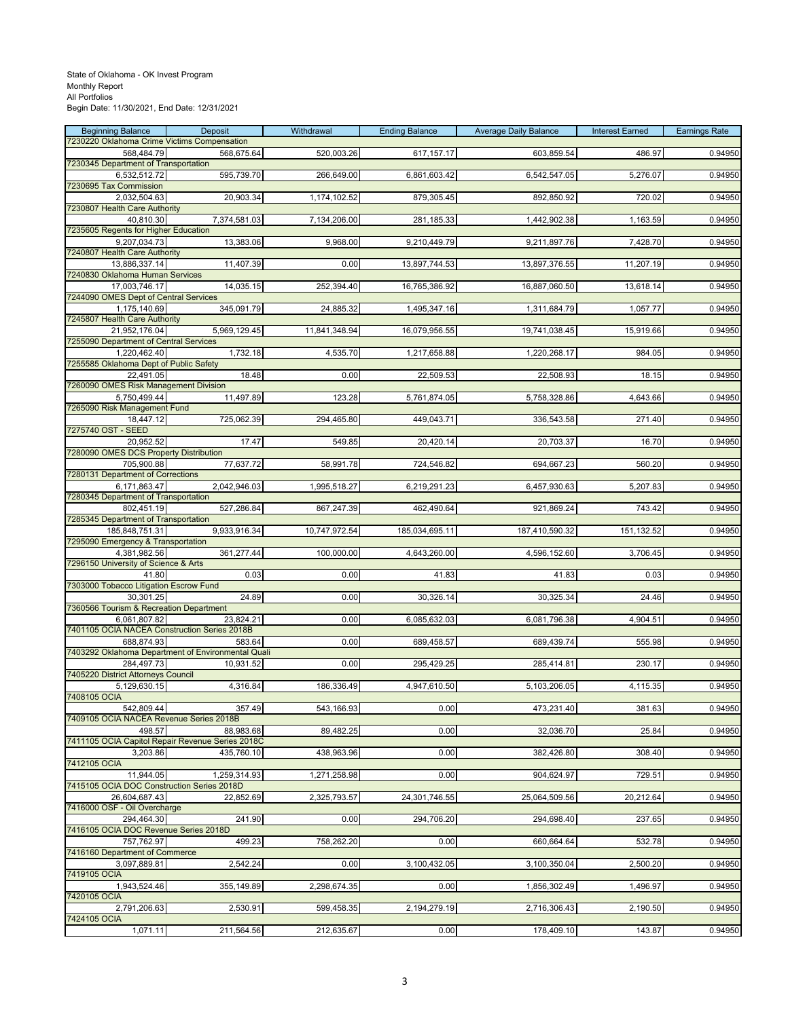| <b>Beginning Balance</b>                                     | Deposit                                            | Withdrawal    | <b>Ending Balance</b> | <b>Average Daily Balance</b> | <b>Interest Earned</b> | <b>Earnings Rate</b> |
|--------------------------------------------------------------|----------------------------------------------------|---------------|-----------------------|------------------------------|------------------------|----------------------|
| 7230220 Oklahoma Crime Victims Compensation                  |                                                    |               |                       |                              |                        |                      |
| 568,484.79<br>7230345 Department of Transportation           | 568,675.64                                         | 520,003.26    | 617, 157. 17          | 603,859.54                   | 486.97                 | 0.94950              |
| 6,532,512.72                                                 | 595,739.70                                         | 266,649.00    | 6,861,603.42          | 6,542,547.05                 | 5,276.07               | 0.94950              |
| 7230695 Tax Commission                                       |                                                    |               |                       |                              |                        |                      |
| 2,032,504.63                                                 | 20,903.34                                          | 1,174,102.52  | 879,305.45            | 892,850.92                   | 720.02                 | 0.94950              |
| 7230807 Health Care Authority                                |                                                    |               |                       |                              |                        |                      |
| 40.810.30                                                    | 7,374,581.03                                       | 7,134,206.00  | 281,185.33            | 1,442,902.38                 | 1,163.59               | 0.94950              |
| 7235605 Regents for Higher Education                         |                                                    |               |                       |                              |                        |                      |
| 9,207,034.73<br>7240807 Health Care Authority                | 13,383.06                                          | 9,968.00      | 9,210,449.79          | 9,211,897.76                 | 7,428.70               | 0.94950              |
| 13,886,337.14                                                | 11,407.39                                          | 0.00          | 13,897,744.53         | 13,897,376.55                | 11,207.19              | 0.94950              |
| 7240830 Oklahoma Human Services                              |                                                    |               |                       |                              |                        |                      |
| 17,003,746.17                                                | 14,035.15                                          | 252,394.40    | 16,765,386.92         | 16,887,060.50                | 13,618.14              | 0.94950              |
| 7244090 OMES Dept of Central Services                        |                                                    |               |                       |                              |                        |                      |
| 1,175,140.69                                                 | 345,091.79                                         | 24,885.32     | 1,495,347.16          | 1,311,684.79                 | 1,057.77               | 0.94950              |
| 7245807 Health Care Authority                                |                                                    |               |                       |                              |                        |                      |
| 21,952,176.04<br>7255090 Department of Central Services      | 5,969,129.45                                       | 11,841,348.94 | 16,079,956.55         | 19,741,038.45                | 15,919.66              | 0.94950              |
| 1,220,462.40                                                 | 1,732.18                                           | 4,535.70      | 1,217,658.88          | 1,220,268.17                 | 984.05                 | 0.94950              |
| 7255585 Oklahoma Dept of Public Safety                       |                                                    |               |                       |                              |                        |                      |
| 22,491.05                                                    | 18.48                                              | 0.00          | 22,509.53             | 22,508.93                    | 18.15                  | 0.94950              |
| 7260090 OMES Risk Management Division                        |                                                    |               |                       |                              |                        |                      |
| 5,750,499.44                                                 | 11,497.89                                          | 123.28        | 5,761,874.05          | 5,758,328.86                 | 4,643.66               | 0.94950              |
| 7265090 Risk Management Fund                                 |                                                    |               |                       |                              |                        |                      |
| 18,447.12                                                    | 725,062.39                                         | 294,465.80    | 449,043.71            | 336,543.58                   | 271.40                 | 0.94950              |
| 7275740 OST - SEED<br>20,952.52                              | 17.47                                              | 549.85        | 20,420.14             | 20,703.37                    | 16.70                  | 0.94950              |
| 7280090 OMES DCS Property Distribution                       |                                                    |               |                       |                              |                        |                      |
| 705,900.88                                                   | 77,637.72                                          | 58,991.78     | 724,546.82            | 694,667.23                   | 560.20                 | 0.94950              |
| 7280131 Department of Corrections                            |                                                    |               |                       |                              |                        |                      |
| 6,171,863.47                                                 | 2,042,946.03                                       | 1,995,518.27  | 6,219,291.23          | 6,457,930.63                 | 5,207.83               | 0.94950              |
| 7280345 Department of Transportation                         |                                                    |               |                       |                              |                        |                      |
| 802,451.19                                                   | 527,286.84                                         | 867,247.39    | 462,490.64            | 921,869.24                   | 743.42                 | 0.94950              |
| 7285345 Department of Transportation<br>185,848,751.31       | 9,933,916.34                                       | 10,747,972.54 | 185,034,695.11        | 187,410,590.32               | 151,132.52             | 0.94950              |
| 7295090 Emergency & Transportation                           |                                                    |               |                       |                              |                        |                      |
| 4,381,982.56                                                 | 361,277.44                                         | 100,000.00    | 4,643,260.00          | 4,596,152.60                 | 3,706.45               | 0.94950              |
| 7296150 University of Science & Arts                         |                                                    |               |                       |                              |                        |                      |
| 41.80                                                        | 0.03                                               | 0.00          | 41.83                 | 41.83                        | 0.03                   | 0.94950              |
| 7303000 Tobacco Litigation Escrow Fund                       |                                                    |               |                       |                              |                        |                      |
| 30,301.25                                                    | 24.89                                              | 0.00          | 30,326.14             | 30,325.34                    | 24.46                  | 0.94950              |
| 7360566 Tourism & Recreation Department                      |                                                    |               |                       |                              |                        |                      |
| 6,061,807.82<br>7401105 OCIA NACEA Construction Series 2018B | 23,824.21                                          | 0.00          | 6,085,632.03          | 6,081,796.38                 | 4,904.51               | 0.94950              |
| 688,874.93                                                   | 583.64                                             | 0.00          | 689,458.57            | 689,439.74                   | 555.98                 | 0.94950              |
|                                                              | 7403292 Oklahoma Department of Environmental Quali |               |                       |                              |                        |                      |
| 284,497.73                                                   | 10,931.52                                          | 0.00          | 295,429.25            | 285,414.81                   | 230.17                 | 0.94950              |
| 7405220 District Attorneys Council                           |                                                    |               |                       |                              |                        |                      |
| 5,129,630.15                                                 | 4,316.84                                           | 186,336.49    | 4,947,610.50          | 5,103,206.05                 | 4,115.35               | 0.94950              |
| 7408105 OCIA                                                 |                                                    |               |                       |                              |                        |                      |
| 542,809.44<br>7409105 OCIA NACEA Revenue Series 2018B        | 357.49                                             | 543,166.93    | 0.00                  | 473,231.40                   | 381.63                 | 0.94950              |
| 498.57                                                       | 88,983.68                                          | 89,482.25     | 0.00                  | 32,036.70                    | 25.84                  | 0.94950              |
| 7411105 OCIA Capitol Repair Revenue Series 2018C             |                                                    |               |                       |                              |                        |                      |
| 3.203.86                                                     | 435,760.10                                         | 438,963.96    | 0.00                  | 382,426.80                   | 308.40                 | 0.94950              |
| 7412105 OCIA                                                 |                                                    |               |                       |                              |                        |                      |
| 11,944.05                                                    | 1,259,314.93                                       | 1,271,258.98  | 0.00                  | 904,624.97                   | 729.51                 | 0.94950              |
| 7415105 OCIA DOC Construction Series 2018D                   |                                                    |               |                       |                              |                        |                      |
| 26,604,687.43<br>7416000 OSF - Oil Overcharge                | 22,852.69                                          | 2,325,793.57  | 24,301,746.55         | 25,064,509.56                | 20,212.64              | 0.94950              |
| 294.464.30                                                   | 241.90                                             | 0.00          | 294,706.20            | 294,698.40                   | 237.65                 | 0.94950              |
| 7416105 OCIA DOC Revenue Series 2018D                        |                                                    |               |                       |                              |                        |                      |
| 757,762.97                                                   | 499.23                                             | 758,262.20    | 0.00                  | 660,664.64                   | 532.78                 | 0.94950              |
| 7416160 Department of Commerce                               |                                                    |               |                       |                              |                        |                      |
| 3,097,889.81                                                 | 2,542.24                                           | 0.00          | 3,100,432.05          | 3,100,350.04                 | 2,500.20               | 0.94950              |
| 7419105 OCIA<br>1,943,524.46                                 | 355,149.89                                         | 2,298,674.35  | 0.00                  | 1,856,302.49                 | 1,496.97               | 0.94950              |
| 7420105 OCIA                                                 |                                                    |               |                       |                              |                        |                      |
| 2,791,206.63                                                 | 2,530.91                                           | 599,458.35    | 2,194,279.19          | 2,716,306.43                 | 2,190.50               | 0.94950              |
| 7424105 OCIA                                                 |                                                    |               |                       |                              |                        |                      |
| 1,071.11                                                     | 211,564.56                                         | 212,635.67    | 0.00                  | 178,409.10                   | 143.87                 | 0.94950              |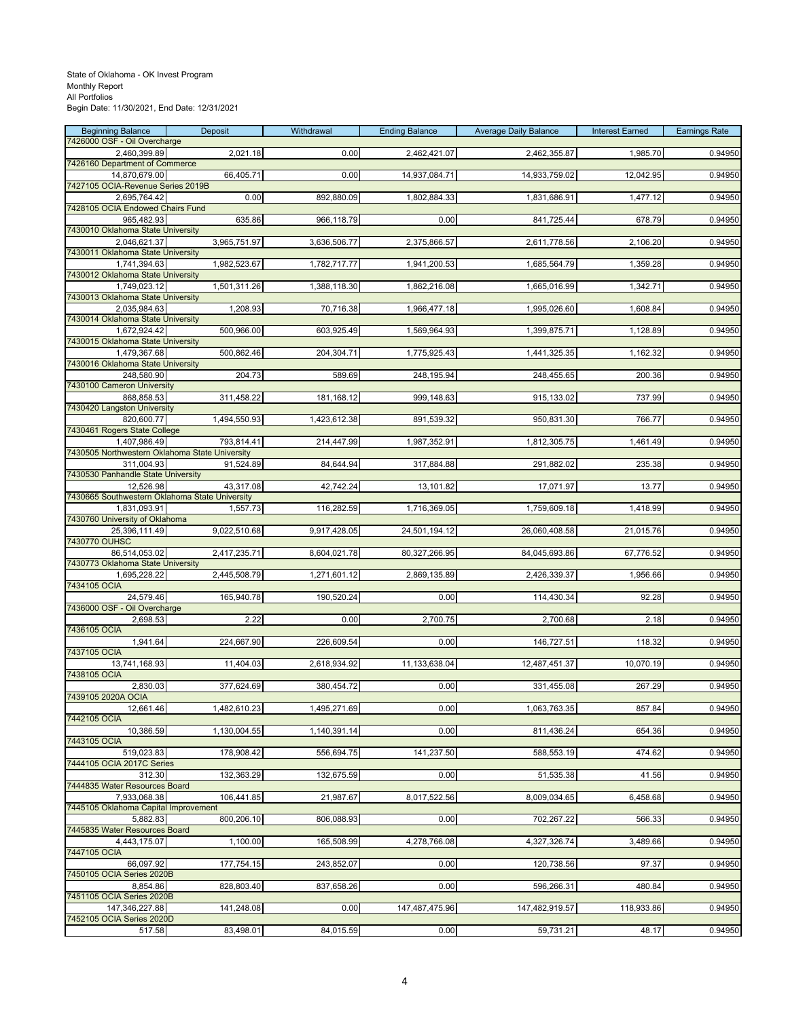| <b>Beginning Balance</b>                                       | Deposit      | Withdrawal   | <b>Ending Balance</b> | <b>Average Daily Balance</b> | <b>Interest Earned</b> | <b>Earnings Rate</b> |
|----------------------------------------------------------------|--------------|--------------|-----------------------|------------------------------|------------------------|----------------------|
| 7426000 OSF - Oil Overcharge<br>2,460,399.89                   | 2,021.18     | 0.00         | 2,462,421.07          | 2,462,355.87                 | 1,985.70               | 0.94950              |
| 7426160 Department of Commerce                                 |              |              |                       |                              |                        |                      |
| 14,870,679.00                                                  | 66,405.71    | 0.00         | 14,937,084.71         | 14,933,759.02                | 12,042.95              | 0.94950              |
| 7427105 OCIA-Revenue Series 2019B<br>2,695,764.42              | 0.00         | 892,880.09   | 1,802,884.33          | 1,831,686.91                 | 1,477.12               | 0.94950              |
| 7428105 OCIA Endowed Chairs Fund                               |              |              |                       |                              |                        |                      |
| 965,482.93                                                     | 635.86       | 966,118.79   | 0.00                  | 841,725.44                   | 678.79                 | 0.94950              |
| 7430010 Oklahoma State University                              |              |              |                       |                              |                        |                      |
| 2,046,621.37<br>7430011 Oklahoma State University              | 3,965,751.97 | 3,636,506.77 | 2,375,866.57          | 2,611,778.56                 | 2,106.20               | 0.94950              |
| 1,741,394.63                                                   | 1,982,523.67 | 1,782,717.77 | 1,941,200.53          | 1,685,564.79                 | 1,359.28               | 0.94950              |
| 7430012 Oklahoma State University                              |              |              |                       |                              |                        |                      |
| 1,749,023.12<br>7430013 Oklahoma State University              | 1,501,311.26 | 1,388,118.30 | 1,862,216.08          | 1,665,016.99                 | 1,342.71               | 0.94950              |
| 2,035,984.63                                                   | 1,208.93     | 70,716.38    | 1,966,477.18          | 1,995,026.60                 | 1,608.84               | 0.94950              |
| 7430014 Oklahoma State University                              |              |              |                       |                              |                        |                      |
| 1,672,924.42                                                   | 500,966.00   | 603,925.49   | 1,569,964.93          | 1,399,875.71                 | 1,128.89               | 0.94950              |
| 7430015 Oklahoma State University<br>1,479,367.68              | 500,862.46   | 204,304.71   | 1,775,925.43          | 1,441,325.35                 | 1,162.32               | 0.94950              |
| 7430016 Oklahoma State University                              |              |              |                       |                              |                        |                      |
| 248,580.90                                                     | 204.73       | 589.69       | 248,195.94            | 248,455.65                   | 200.36                 | 0.94950              |
| 7430100 Cameron University<br>868,858.53                       | 311,458.22   | 181,168.12   | 999,148.63            | 915,133.02                   | 737.99                 | 0.94950              |
| 7430420 Langston University                                    |              |              |                       |                              |                        |                      |
| 820,600.77                                                     | 1,494,550.93 | 1,423,612.38 | 891,539.32            | 950,831.30                   | 766.77                 | 0.94950              |
| 7430461 Rogers State College                                   |              |              |                       |                              |                        |                      |
| 1,407,986.49<br>7430505 Northwestern Oklahoma State University | 793,814.41   | 214,447.99   | 1,987,352.91          | 1,812,305.75                 | 1,461.49               | 0.94950              |
| 311,004.93                                                     | 91,524.89    | 84,644.94    | 317,884.88            | 291,882.02                   | 235.38                 | 0.94950              |
| 7430530 Panhandle State University                             |              |              |                       |                              |                        |                      |
| 12,526.98<br>7430665 Southwestern Oklahoma State University    | 43.317.08    | 42,742.24    | 13,101.82             | 17,071.97                    | 13.77                  | 0.94950              |
| 1,831,093.91                                                   | 1,557.73     | 116,282.59   | 1,716,369.05          | 1,759,609.18                 | 1,418.99               | 0.94950              |
| 7430760 University of Oklahoma                                 |              |              |                       |                              |                        |                      |
| 25,396,111.49                                                  | 9,022,510.68 | 9,917,428.05 | 24,501,194.12         | 26,060,408.58                | 21,015.76              | 0.94950              |
| 7430770 OUHSC<br>86,514,053.02                                 | 2,417,235.71 | 8,604,021.78 | 80,327,266.95         | 84,045,693.86                | 67,776.52              | 0.94950              |
| 7430773 Oklahoma State University                              |              |              |                       |                              |                        |                      |
| 1,695,228.22                                                   | 2,445,508.79 | 1,271,601.12 | 2,869,135.89          | 2,426,339.37                 | 1,956.66               | 0.94950              |
| 7434105 OCIA                                                   |              |              |                       |                              |                        |                      |
| 24,579.46<br>7436000 OSF - Oil Overcharge                      | 165,940.78   | 190,520.24   | 0.00                  | 114,430.34                   | 92.28                  | 0.94950              |
| 2,698.53                                                       | 2.22         | 0.00         | 2,700.75              | 2,700.68                     | 2.18                   | 0.94950              |
| 7436105 OCIA                                                   |              |              |                       |                              |                        |                      |
| 1,941.64<br>7437105 OCIA                                       | 224,667.90   | 226,609.54   | 0.00                  | 146,727.51                   | 118.32                 | 0.94950              |
| 13,741,168.93                                                  | 11,404.03    | 2,618,934.92 | 11,133,638.04         | 12,487,451.37                | 10,070.19              | 0.94950              |
| 7438105 OCIA                                                   |              |              |                       |                              |                        |                      |
| 2,830.03<br>7439105 2020A OCIA                                 | 377,624.69   | 380,454.72   | 0.00                  | 331,455.08                   | 267.29                 | 0.94950              |
| 12,661.46                                                      | 1,482,610.23 | 1,495,271.69 | 0.00                  | 1,063,763.35                 | 857.84                 | 0.94950              |
| 7442105 OCIA                                                   |              |              |                       |                              |                        |                      |
| 10,386.59                                                      | 1,130,004.55 | 1,140,391.14 | 0.00                  | 811,436.24                   | 654.36                 | 0.94950              |
| 7443105 OCIA<br>519,023.83                                     | 178,908.42   | 556,694.75   | 141,237.50            | 588,553.19                   | 474.62                 | 0.94950              |
| 7444105 OCIA 2017C Series                                      |              |              |                       |                              |                        |                      |
| 312.30                                                         | 132,363.29   | 132,675.59   | 0.00                  | 51,535.38                    | 41.56                  | 0.94950              |
| 7444835 Water Resources Board                                  |              |              |                       |                              |                        |                      |
| 7,933,068.38<br>7445105 Oklahoma Capital Improvement           | 106,441.85   | 21,987.67    | 8,017,522.56          | 8,009,034.65                 | 6,458.68               | 0.94950              |
| 5,882.83                                                       | 800,206.10   | 806,088.93   | 0.00                  | 702,267.22                   | 566.33                 | 0.94950              |
| 7445835 Water Resources Board                                  |              |              |                       |                              |                        |                      |
| 4,443,175.07<br>7447105 OCIA                                   | 1,100.00     | 165,508.99   | 4,278,766.08          | 4,327,326.74                 | 3,489.66               | 0.94950              |
| 66,097.92                                                      | 177,754.15   | 243,852.07   | 0.00                  | 120,738.56                   | 97.37                  | 0.94950              |
| 7450105 OCIA Series 2020B                                      |              |              |                       |                              |                        |                      |
| 8,854.86                                                       | 828,803.40   | 837,658.26   | 0.00                  | 596,266.31                   | 480.84                 | 0.94950              |
| 7451105 OCIA Series 2020B<br>147,346,227.88                    | 141,248.08   | 0.00         | 147,487,475.96        | 147,482,919.57               | 118,933.86             | 0.94950              |
| 7452105 OCIA Series 2020D                                      |              |              |                       |                              |                        |                      |
| 517.58                                                         | 83,498.01    | 84,015.59    | 0.00                  | 59,731.21                    | 48.17                  | 0.94950              |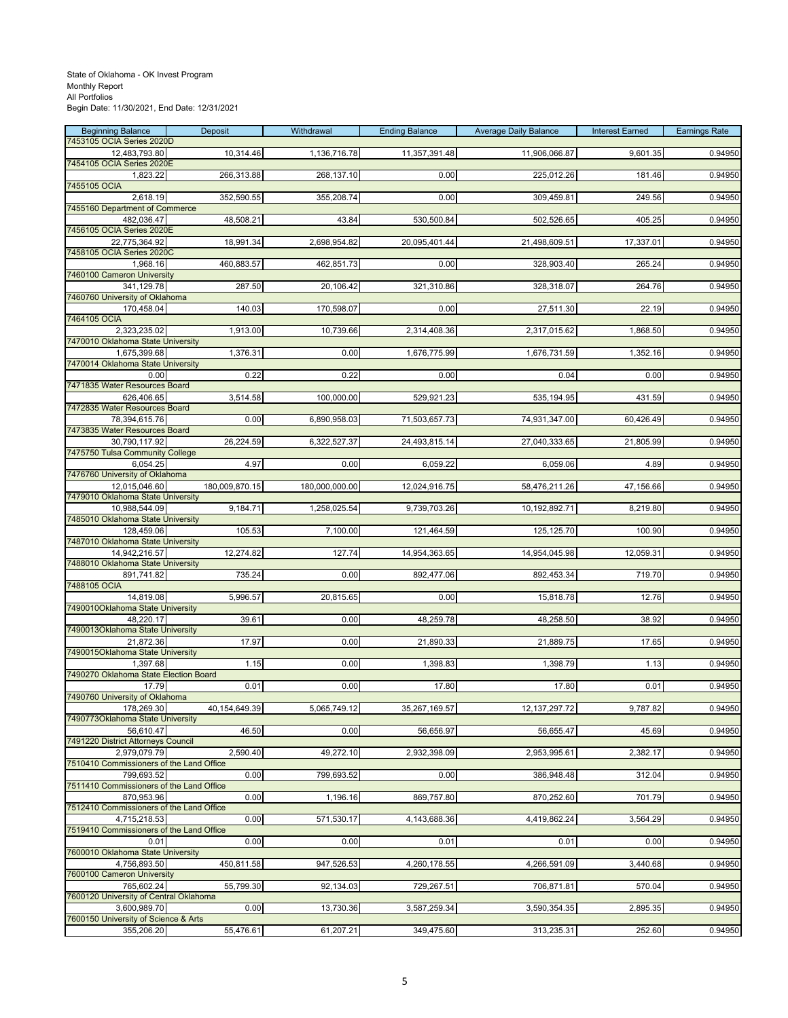| <b>Beginning Balance</b>                                 | Deposit        | Withdrawal     | <b>Ending Balance</b> | <b>Average Daily Balance</b> | <b>Interest Earned</b> | <b>Earnings Rate</b> |
|----------------------------------------------------------|----------------|----------------|-----------------------|------------------------------|------------------------|----------------------|
| 7453105 OCIA Series 2020D<br>12,483,793.80               | 10,314.46      | 1,136,716.78   | 11,357,391.48         | 11,906,066.87                | 9,601.35               | 0.94950              |
| 7454105 OCIA Series 2020E                                |                |                |                       |                              |                        |                      |
| 1,823.22<br>7455105 OCIA                                 | 266,313.88     | 268,137.10     | 0.00                  | 225,012.26                   | 181.46                 | 0.94950              |
| 2,618.19                                                 | 352,590.55     | 355,208.74     | 0.00                  | 309,459.81                   | 249.56                 | 0.94950              |
| 7455160 Department of Commerce                           |                |                |                       |                              |                        |                      |
| 482.036.47<br>7456105 OCIA Series 2020E                  | 48,508.21      | 43.84          | 530,500.84            | 502,526.65                   | 405.25                 | 0.94950              |
| 22,775,364.92                                            | 18,991.34      | 2,698,954.82   | 20,095,401.44         | 21,498,609.51                | 17,337.01              | 0.94950              |
| 7458105 OCIA Series 2020C                                |                |                |                       |                              |                        |                      |
| 1,968.16<br>7460100 Cameron University                   | 460,883.57     | 462,851.73     | 0.00                  | 328,903.40                   | 265.24                 | 0.94950              |
| 341,129.78                                               | 287.50         | 20,106.42      | 321,310.86            | 328,318.07                   | 264.76                 | 0.94950              |
| 7460760 University of Oklahoma                           |                |                | 0.00                  |                              |                        |                      |
| 170,458.04<br>7464105 OCIA                               | 140.03         | 170,598.07     |                       | 27,511.30                    | 22.19                  | 0.94950              |
| 2,323,235.02                                             | 1,913.00       | 10,739.66      | 2,314,408.36          | 2,317,015.62                 | 1,868.50               | 0.94950              |
| 7470010 Oklahoma State University<br>1,675,399.68        | 1,376.31       | 0.00           | 1,676,775.99          | 1,676,731.59                 | 1,352.16               | 0.94950              |
| 7470014 Oklahoma State University                        |                |                |                       |                              |                        |                      |
| 0.00                                                     | 0.22           | 0.22           | 0.00                  | 0.04                         | 0.00                   | 0.94950              |
| 7471835 Water Resources Board<br>626,406.65              | 3,514.58       | 100,000.00     | 529,921.23            | 535,194.95                   | 431.59                 | 0.94950              |
| 7472835 Water Resources Board                            |                |                |                       |                              |                        |                      |
| 78,394,615.76                                            | 0.00           | 6,890,958.03   | 71,503,657.73         | 74,931,347.00                | 60,426.49              | 0.94950              |
| 7473835 Water Resources Board<br>30,790,117.92           | 26,224.59      | 6,322,527.37   | 24,493,815.14         | 27,040,333.65                | 21,805.99              | 0.94950              |
| 7475750 Tulsa Community College                          |                |                |                       |                              |                        |                      |
| 6,054.25                                                 | 4.97           | 0.00           | 6,059.22              | 6,059.06                     | 4.89                   | 0.94950              |
| 7476760 University of Oklahoma<br>12,015,046.60          | 180,009,870.15 | 180,000,000.00 | 12,024,916.75         | 58,476,211.26                | 47,156.66              | 0.94950              |
| 7479010 Oklahoma State University                        |                |                |                       |                              |                        |                      |
| 10,988,544.09                                            | 9,184.71       | 1,258,025.54   | 9,739,703.26          | 10,192,892.71                | 8,219.80               | 0.94950              |
| 7485010 Oklahoma State University<br>128,459.06          | 105.53         | 7,100.00       | 121,464.59            | 125,125.70                   | 100.90                 | 0.94950              |
| 7487010 Oklahoma State University                        |                |                |                       |                              |                        |                      |
| 14,942,216.57<br>7488010 Oklahoma State University       | 12,274.82      | 127.74         | 14,954,363.65         | 14,954,045.98                | 12,059.31              | 0.94950              |
| 891,741.82                                               | 735.24         | 0.00           | 892,477.06            | 892,453.34                   | 719.70                 | 0.94950              |
| 7488105 OCIA                                             |                |                |                       |                              |                        |                      |
| 14,819.08<br>7490010Oklahoma State University            | 5,996.57       | 20,815.65      | 0.00                  | 15,818.78                    | 12.76                  | 0.94950              |
| 48,220.17                                                | 39.61          | 0.00           | 48,259.78             | 48,258.50                    | 38.92                  | 0.94950              |
| 7490013Oklahoma State University                         |                |                |                       |                              |                        |                      |
| 21,872.36<br>7490015Oklahoma State University            | 17.97          | 0.00           | 21,890.33             | 21,889.75                    | 17.65                  | 0.94950              |
| 1,397.68                                                 | 1.15           | 0.00           | 1,398.83              | 1,398.79                     | 1.13                   | 0.94950              |
| 7490270 Oklahoma State Election Board                    | 0.01           | 0.00           | 17.80                 | 17.80                        | 0.01                   |                      |
| 17.79<br>7490760 University of Oklahoma                  |                |                |                       |                              |                        | 0.94950              |
| 178,269.30                                               | 40,154,649.39  | 5,065,749.12   | 35,267,169.57         | 12, 137, 297. 72             | 9,787.82               | 0.94950              |
| 7490773Oklahoma State University<br>56,610.47            | 46.50          | 0.00           | 56,656.97             | 56,655.47                    | 45.69                  | 0.94950              |
| 7491220 District Attorneys Council                       |                |                |                       |                              |                        |                      |
| 2,979,079.79                                             | 2,590.40       | 49,272.10      | 2,932,398.09          | 2,953,995.61                 | 2,382.17               | 0.94950              |
| 7510410 Commissioners of the Land Office<br>799,693.52   | 0.00           | 799,693.52     | 0.00                  | 386,948.48                   | 312.04                 | 0.94950              |
| 7511410 Commissioners of the Land Office                 |                |                |                       |                              |                        |                      |
| 870,953.96                                               | 0.00           | 1,196.16       | 869,757.80            | 870,252.60                   | 701.79                 | 0.94950              |
| 7512410 Commissioners of the Land Office<br>4,715,218.53 | 0.00           | 571,530.17     | 4,143,688.36          | 4,419,862.24                 | 3,564.29               | 0.94950              |
| 7519410 Commissioners of the Land Office                 |                |                |                       |                              |                        |                      |
| 0.01<br>7600010 Oklahoma State University                | 0.00           | 0.00           | 0.01                  | 0.01                         | 0.00                   | 0.94950              |
| 4,756,893.50                                             | 450,811.58     | 947,526.53     | 4,260,178.55          | 4,266,591.09                 | 3,440.68               | 0.94950              |
| 7600100 Cameron University                               |                |                |                       |                              |                        |                      |
| 765,602.24<br>7600120 University of Central Oklahoma     | 55,799.30      | 92,134.03      | 729,267.51            | 706,871.81                   | 570.04                 | 0.94950              |
| 3,600,989.70                                             | 0.00           | 13,730.36      | 3,587,259.34          | 3,590,354.35                 | 2,895.35               | 0.94950              |
| 7600150 University of Science & Arts                     |                |                |                       |                              |                        |                      |
| 355,206.20                                               | 55,476.61      | 61,207.21      | 349,475.60            | 313,235.31                   | 252.60                 | 0.94950              |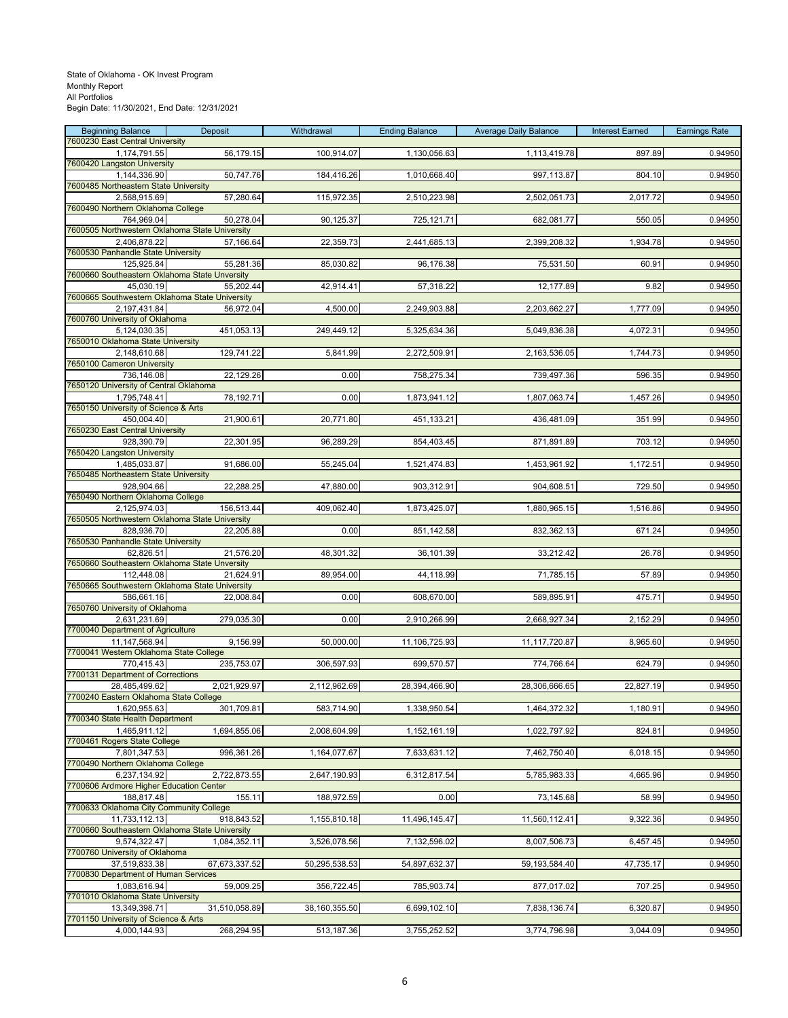| <b>Beginning Balance</b>                                       | Deposit       | Withdrawal    | <b>Ending Balance</b> | <b>Average Daily Balance</b> | <b>Interest Earned</b> | <b>Earnings Rate</b> |
|----------------------------------------------------------------|---------------|---------------|-----------------------|------------------------------|------------------------|----------------------|
| 7600230 East Central University<br>1,174,791.55                | 56,179.15     | 100,914.07    | 1,130,056.63          | 1,113,419.78                 | 897.89                 | 0.94950              |
| 7600420 Langston University                                    |               |               |                       |                              |                        |                      |
| 1,144,336.90                                                   | 50,747.76     | 184,416.26    | 1,010,668.40          | 997,113.87                   | 804.10                 | 0.94950              |
| 7600485 Northeastern State University                          |               |               |                       |                              |                        |                      |
| 2,568,915.69<br>7600490 Northern Oklahoma College              | 57,280.64     | 115,972.35    | 2,510,223.98          | 2,502,051.73                 | 2,017.72               | 0.94950              |
| 764,969.04                                                     | 50,278.04     | 90,125.37     | 725,121.71            | 682,081.77                   | 550.05                 | 0.94950              |
| 7600505 Northwestern Oklahoma State University                 |               |               |                       |                              |                        |                      |
| 2,406,878.22                                                   | 57,166.64     | 22,359.73     | 2,441,685.13          | 2,399,208.32                 | 1,934.78               | 0.94950              |
| 7600530 Panhandle State University<br>125,925.84               | 55,281.36     | 85,030.82     | 96,176.38             | 75,531.50                    | 60.91                  | 0.94950              |
| 7600660 Southeastern Oklahoma State Unversity                  |               |               |                       |                              |                        |                      |
| 45,030.19                                                      | 55,202.44     | 42,914.41     | 57,318.22             | 12,177.89                    | 9.82                   | 0.94950              |
| 7600665 Southwestern Oklahoma State University<br>2,197,431.84 |               | 4,500.00      | 2,249,903.88          | 2,203,662.27                 |                        | 0.94950              |
| 7600760 University of Oklahoma                                 | 56,972.04     |               |                       |                              | 1,777.09               |                      |
| 5,124,030.35                                                   | 451,053.13    | 249,449.12    | 5,325,634.36          | 5,049,836.38                 | 4,072.31               | 0.94950              |
| 7650010 Oklahoma State University                              |               |               |                       |                              |                        |                      |
| 2,148,610.68<br>7650100 Cameron University                     | 129,741.22    | 5,841.99      | 2,272,509.91          | 2,163,536.05                 | 1,744.73               | 0.94950              |
| 736,146.08                                                     | 22,129.26     | 0.00          | 758,275.34            | 739,497.36                   | 596.35                 | 0.94950              |
| 7650120 University of Central Oklahoma                         |               |               |                       |                              |                        |                      |
| 1,795,748.41                                                   | 78,192.71     | 0.00          | 1,873,941.12          | 1,807,063.74                 | 1,457.26               | 0.94950              |
| 7650150 University of Science & Arts<br>450,004.40             | 21,900.61     | 20,771.80     | 451,133.21            | 436,481.09                   | 351.99                 | 0.94950              |
| 7650230 East Central University                                |               |               |                       |                              |                        |                      |
| 928,390.79                                                     | 22,301.95     | 96,289.29     | 854,403.45            | 871,891.89                   | 703.12                 | 0.94950              |
| 7650420 Langston University                                    |               |               |                       |                              |                        |                      |
| 1,485,033.87<br>7650485 Northeastern State University          | 91,686.00     | 55,245.04     | 1,521,474.83          | 1,453,961.92                 | 1,172.51               | 0.94950              |
| 928,904.66                                                     | 22,288.25     | 47,880.00     | 903,312.91            | 904,608.51                   | 729.50                 | 0.94950              |
| 7650490 Northern Oklahoma College                              |               |               |                       |                              |                        |                      |
| 2,125,974.03                                                   | 156,513.44    | 409,062.40    | 1,873,425.07          | 1,880,965.15                 | 1,516.86               | 0.94950              |
| 7650505 Northwestern Oklahoma State University<br>828,936.70   | 22,205.88     | 0.00          | 851,142.58            | 832,362.13                   | 671.24                 | 0.94950              |
| 7650530 Panhandle State University                             |               |               |                       |                              |                        |                      |
| 62,826.51                                                      | 21,576.20     | 48,301.32     | 36,101.39             | 33,212.42                    | 26.78                  | 0.94950              |
| 7650660 Southeastern Oklahoma State Unversity                  |               |               |                       |                              |                        |                      |
| 112,448.08<br>7650665 Southwestern Oklahoma State University   | 21,624.91     | 89,954.00     | 44,118.99             | 71,785.15                    | 57.89                  | 0.94950              |
| 586,661.16                                                     | 22,008.84     | 0.00          | 608,670.00            | 589,895.91                   | 475.71                 | 0.94950              |
| 7650760 University of Oklahoma                                 |               |               |                       |                              |                        |                      |
| 2,631,231.69<br>7700040 Department of Agriculture              | 279,035.30    | 0.00          | 2,910,266.99          | 2,668,927.34                 | 2,152.29               | 0.94950              |
| 11,147,568.94                                                  | 9,156.99      | 50,000.00     | 11,106,725.93         | 11,117,720.87                | 8,965.60               | 0.94950              |
| 7700041 Western Oklahoma State College                         |               |               |                       |                              |                        |                      |
| 770,415.43                                                     | 235,753.07    | 306,597.93    | 699,570.57            | 774,766.64                   | 624.79                 | 0.94950              |
| 7700131 Department of Corrections<br>28,485,499.62             | 2,021,929.97  | 2,112,962.69  | 28,394,466.90         | 28,306,666.65                | 22,827.19              | 0.94950              |
| 7700240 Eastern Oklahoma State College                         |               |               |                       |                              |                        |                      |
| 1,620,955.63                                                   | 301,709.81    | 583,714.90    | 1,338,950.54          | 1,464,372.32                 | 1,180.91               | 0.94950              |
| 7700340 State Health Department                                |               |               |                       |                              |                        |                      |
| 1,465,911.12<br>7700461 Rogers State College                   | 1,694,855.06  | 2,008,604.99  | 1,152,161.19          | 1,022,797.92                 | 824.81                 | 0.94950              |
| 7,801,347.53                                                   | 996,361.26    | 1,164,077.67  | 7,633,631.12          | 7,462,750.40                 | 6,018.15               | 0.94950              |
| 7700490 Northern Oklahoma College                              |               |               |                       |                              |                        |                      |
| 6,237,134.92                                                   | 2,722,873.55  | 2,647,190.93  | 6,312,817.54          | 5,785,983.33                 | 4,665.96               | 0.94950              |
| 7700606 Ardmore Higher Education Center<br>188,817.48          | 155.11        | 188,972.59    | 0.00                  | 73,145.68                    | 58.99                  | 0.94950              |
| 7700633 Oklahoma City Community College                        |               |               |                       |                              |                        |                      |
| 11.733.112.13                                                  | 918,843.52    | 1,155,810.18  | 11,496,145.47         | 11,560,112.41                | 9,322.36               | 0.94950              |
| 7700660 Southeastern Oklahoma State University                 |               |               |                       |                              |                        |                      |
| 9,574,322.47<br>7700760 University of Oklahoma                 | 1,084,352.11  | 3,526,078.56  | 7,132,596.02          | 8,007,506.73                 | 6,457.45               | 0.94950              |
| 37,519,833.38                                                  | 67,673,337.52 | 50,295,538.53 | 54,897,632.37         | 59,193,584.40                | 47,735.17              | 0.94950              |
| 7700830 Department of Human Services                           |               |               |                       |                              |                        |                      |
| 1,083,616.94<br>7701010 Oklahoma State University              | 59,009.25     | 356,722.45    | 785,903.74            | 877,017.02                   | 707.25                 | 0.94950              |
| 13,349,398.71                                                  | 31,510,058.89 | 38,160,355.50 | 6,699,102.10          | 7,838,136.74                 | 6,320.87               | 0.94950              |
| 7701150 University of Science & Arts                           |               |               |                       |                              |                        |                      |
| 4,000,144.93                                                   | 268,294.95    | 513,187.36    | 3,755,252.52          | 3,774,796.98                 | 3,044.09               | 0.94950              |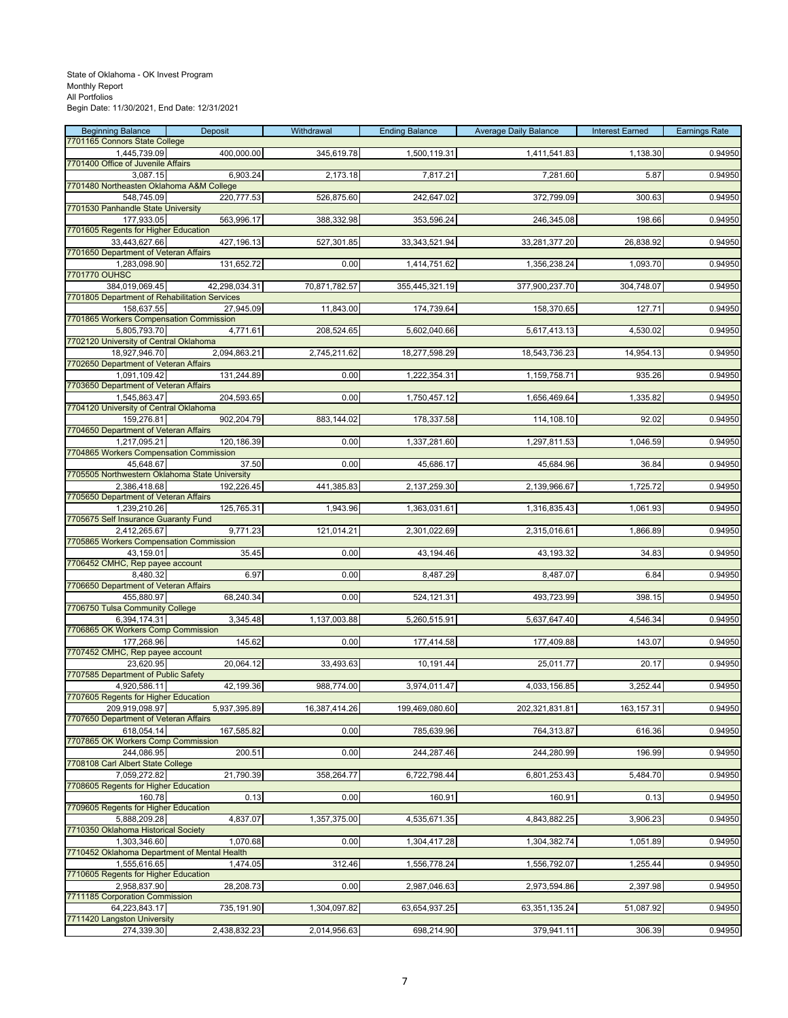| <b>Beginning Balance</b>                                        | Deposit       | Withdrawal    | <b>Ending Balance</b> | <b>Average Daily Balance</b> | <b>Interest Earned</b> | <b>Earnings Rate</b> |
|-----------------------------------------------------------------|---------------|---------------|-----------------------|------------------------------|------------------------|----------------------|
| 7701165 Connors State College<br>1,445,739.09                   | 400,000.00    | 345,619.78    | 1,500,119.31          | 1,411,541.83                 | 1,138.30               | 0.94950              |
| 7701400 Office of Juvenile Affairs                              |               |               |                       |                              |                        |                      |
| 3,087.15                                                        | 6,903.24      | 2,173.18      | 7,817.21              | 7,281.60                     | 5.87                   | 0.94950              |
| 7701480 Northeasten Oklahoma A&M College                        | 220,777.53    |               |                       |                              |                        |                      |
| 548,745.09<br>7701530 Panhandle State University                |               | 526,875.60    | 242,647.02            | 372,799.09                   | 300.63                 | 0.94950              |
| 177,933.05                                                      | 563,996.17    | 388,332.98    | 353,596.24            | 246,345.08                   | 198.66                 | 0.94950              |
| 7701605 Regents for Higher Education                            |               |               |                       |                              |                        |                      |
| 33,443,627.66<br>7701650 Department of Veteran Affairs          | 427,196.13    | 527,301.85    | 33, 343, 521. 94      | 33,281,377.20                | 26,838.92              | 0.94950              |
| 1,283,098.90                                                    | 131,652.72    | 0.00          | 1,414,751.62          | 1,356,238.24                 | 1,093.70               | 0.94950              |
| 7701770 OUHSC                                                   |               |               |                       |                              |                        |                      |
| 384,019,069.45<br>7701805 Department of Rehabilitation Services | 42,298,034.31 | 70,871,782.57 | 355,445,321.19        | 377,900,237.70               | 304,748.07             | 0.94950              |
| 158.637.55                                                      | 27,945.09     | 11,843.00     | 174,739.64            | 158,370.65                   | 127.71                 | 0.94950              |
| 7701865 Workers Compensation Commission                         |               |               |                       |                              |                        |                      |
| 5,805,793.70                                                    | 4,771.61      | 208,524.65    | 5,602,040.66          | 5,617,413.13                 | 4,530.02               | 0.94950              |
| 7702120 University of Central Oklahoma<br>18,927,946.70         | 2,094,863.21  | 2,745,211.62  | 18,277,598.29         | 18,543,736.23                | 14,954.13              | 0.94950              |
| 7702650 Department of Veteran Affairs                           |               |               |                       |                              |                        |                      |
| 1,091,109.42                                                    | 131,244.89    | 0.00          | 1,222,354.31          | 1,159,758.71                 | 935.26                 | 0.94950              |
| 7703650 Department of Veteran Affairs<br>1,545,863.47           | 204,593.65    | 0.00          | 1,750,457.12          | 1,656,469.64                 | 1,335.82               | 0.94950              |
| 7704120 University of Central Oklahoma                          |               |               |                       |                              |                        |                      |
| 159.276.81                                                      | 902,204.79    | 883,144.02    | 178,337.58            | 114,108.10                   | 92.02                  | 0.94950              |
| 7704650 Department of Veteran Affairs                           |               |               |                       |                              |                        |                      |
| 1,217,095.21<br>7704865 Workers Compensation Commission         | 120,186.39    | 0.00          | 1,337,281.60          | 1,297,811.53                 | 1,046.59               | 0.94950              |
| 45,648.67                                                       | 37.50         | 0.00          | 45,686.17             | 45,684.96                    | 36.84                  | 0.94950              |
| 7705505 Northwestern Oklahoma State University                  |               |               |                       |                              |                        |                      |
| 2,386,418.68<br>7705650 Department of Veteran Affairs           | 192,226.45    | 441,385.83    | 2,137,259.30          | 2,139,966.67                 | 1,725.72               | 0.94950              |
| 1,239,210.26                                                    | 125,765.31    | 1,943.96      | 1,363,031.61          | 1,316,835.43                 | 1,061.93               | 0.94950              |
| 7705675 Self Insurance Guaranty Fund                            |               |               |                       |                              |                        |                      |
| 2,412,265.67<br>7705865 Workers Compensation Commission         | 9,771.23      | 121,014.21    | 2,301,022.69          | 2,315,016.61                 | 1,866.89               | 0.94950              |
| 43,159.01                                                       | 35.45         | 0.00          | 43,194.46             | 43,193.32                    | 34.83                  | 0.94950              |
| 7706452 CMHC, Rep payee account                                 |               |               |                       |                              |                        |                      |
| 8,480.32                                                        | 6.97          | 0.00          | 8,487.29              | 8,487.07                     | 6.84                   | 0.94950              |
| 7706650 Department of Veteran Affairs<br>455,880.97             | 68,240.34     | 0.00          | 524,121.31            | 493,723.99                   | 398.15                 | 0.94950              |
| 7706750 Tulsa Community College                                 |               |               |                       |                              |                        |                      |
| 6,394,174.31                                                    | 3,345.48      | 1,137,003.88  | 5,260,515.91          | 5,637,647.40                 | 4,546.34               | 0.94950              |
| 7706865 OK Workers Comp Commission                              |               | 0.00          |                       |                              |                        |                      |
| 177,268.96<br>7707452 CMHC, Rep payee account                   | 145.62        |               | 177,414.58            | 177,409.88                   | 143.07                 | 0.94950              |
| 23,620.95                                                       | 20,064.12     | 33,493.63     | 10,191.44             | 25,011.77                    | 20.17                  | 0.94950              |
| 7707585 Department of Public Safety                             |               |               |                       |                              |                        |                      |
| 4,920,586.11<br>7707605 Regents for Higher Education            | 42,199.36     | 988,774.00    | 3,974,011.47          | 4,033,156.85                 | 3,252.44               | 0.94950              |
| 209,919,098.97                                                  | 5,937,395.89  | 16,387,414.26 | 199,469,080.60        | 202,321,831.81               | 163, 157.31            | 0.94950              |
| 7707650 Department of Veteran Affairs                           |               |               |                       |                              |                        |                      |
| 618,054.14<br>7707865 OK Workers Comp Commission                | 167,585.82    | 0.00          | 785,639.96            | 764,313.87                   | 616.36                 | 0.94950              |
| 244,086.95                                                      | 200.51        | 0.00          | 244,287.46            | 244,280.99                   | 196.99                 | 0.94950              |
| 7708108 Carl Albert State College                               |               |               |                       |                              |                        |                      |
| 7,059,272.82                                                    | 21,790.39     | 358,264.77    | 6,722,798.44          | 6,801,253.43                 | 5,484.70               | 0.94950              |
| 7708605 Regents for Higher Education<br>160.78                  | 0.13          | 0.00          | 160.91                | 160.91                       | 0.13                   | 0.94950              |
| 7709605 Regents for Higher Education                            |               |               |                       |                              |                        |                      |
| 5,888,209.28                                                    | 4,837.07      | 1,357,375.00  | 4,535,671.35          | 4,843,882.25                 | 3,906.23               | 0.94950              |
| 7710350 Oklahoma Historical Society                             |               |               |                       |                              |                        |                      |
| 1,303,346.60<br>7710452 Oklahoma Department of Mental Health    | 1,070.68      | 0.00          | 1,304,417.28          | 1,304,382.74                 | 1,051.89               | 0.94950              |
| 1,555,616.65                                                    | 1,474.05      | 312.46        | 1,556,778.24          | 1,556,792.07                 | 1,255.44               | 0.94950              |
| 7710605 Regents for Higher Education                            |               |               |                       |                              |                        |                      |
| 2,958,837.90<br>7711185 Corporation Commission                  | 28,208.73     | 0.00          | 2,987,046.63          | 2,973,594.86                 | 2,397.98               | 0.94950              |
| 64,223,843.17                                                   | 735,191.90    | 1,304,097.82  | 63,654,937.25         | 63,351,135.24                | 51,087.92              | 0.94950              |
| 7711420 Langston University                                     |               |               |                       |                              |                        |                      |
| 274,339.30                                                      | 2,438,832.23  | 2,014,956.63  | 698,214.90            | 379,941.11                   | 306.39                 | 0.94950              |